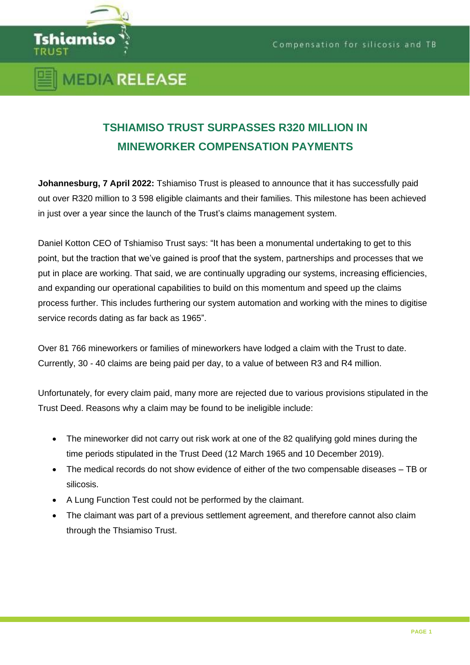

## **MEDIA RELEASE**

## **TSHIAMISO TRUST SURPASSES R320 MILLION IN MINEWORKER COMPENSATION PAYMENTS**

**Johannesburg, 7 April 2022:** Tshiamiso Trust is pleased to announce that it has successfully paid out over R320 million to 3 598 eligible claimants and their families. This milestone has been achieved in just over a year since the launch of the Trust's claims management system.

Daniel Kotton CEO of Tshiamiso Trust says: "It has been a monumental undertaking to get to this point, but the traction that we've gained is proof that the system, partnerships and processes that we put in place are working. That said, we are continually upgrading our systems, increasing efficiencies, and expanding our operational capabilities to build on this momentum and speed up the claims process further. This includes furthering our system automation and working with the mines to digitise service records dating as far back as 1965".

Over 81 766 mineworkers or families of mineworkers have lodged a claim with the Trust to date. Currently, 30 - 40 claims are being paid per day, to a value of between R3 and R4 million.

Unfortunately, for every claim paid, many more are rejected due to various provisions stipulated in the Trust Deed. Reasons why a claim may be found to be ineligible include:

- The mineworker did not carry out risk work at one of the 82 qualifying gold mines during the time periods stipulated in the Trust Deed (12 March 1965 and 10 December 2019).
- The medical records do not show evidence of either of the two compensable diseases TB or silicosis.
- A Lung Function Test could not be performed by the claimant.
- The claimant was part of a previous settlement agreement, and therefore cannot also claim through the Thsiamiso Trust.